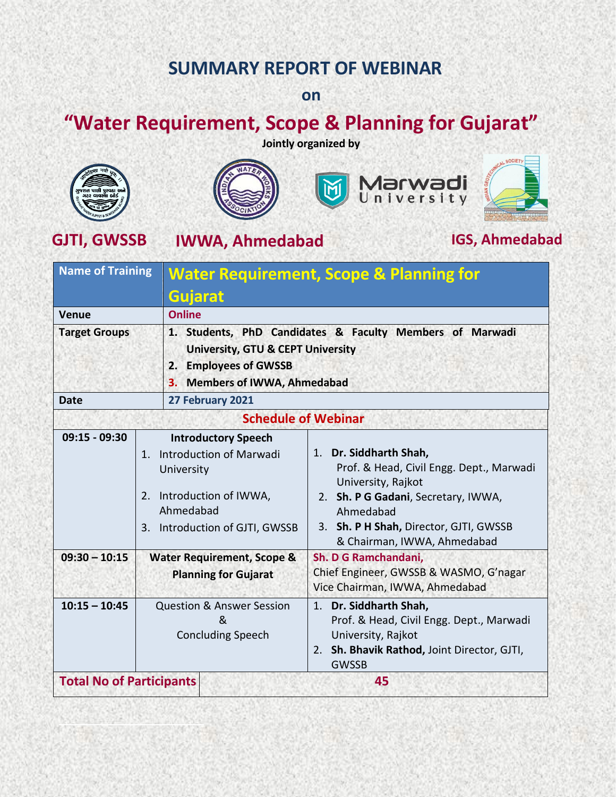## **SUMMARY REPORT OF WEBINAR**

### **on**

# **"Water Requirement, Scope & Planning for Gujarat"**

**Jointly organized by**









**GJTI, GWSSB IWWA, Ahmedabad IGS, Ahmedabad**

| <b>Name of Training</b>         |                                                                                                                                                           | <b>Water Requirement, Scope &amp; Planning for</b><br>Gujarat                                                                                                                                                         |  |  |
|---------------------------------|-----------------------------------------------------------------------------------------------------------------------------------------------------------|-----------------------------------------------------------------------------------------------------------------------------------------------------------------------------------------------------------------------|--|--|
|                                 |                                                                                                                                                           |                                                                                                                                                                                                                       |  |  |
| <b>Venue</b>                    | <b>Online</b>                                                                                                                                             |                                                                                                                                                                                                                       |  |  |
| <b>Target Groups</b>            | 2. Employees of GWSSB<br>З.                                                                                                                               | 1. Students, PhD Candidates & Faculty Members of Marwadi<br><b>University, GTU &amp; CEPT University</b><br><b>Members of IWWA, Ahmedabad</b>                                                                         |  |  |
| <b>Date</b>                     | 27 February 2021                                                                                                                                          |                                                                                                                                                                                                                       |  |  |
|                                 | <b>Schedule of Webinar</b>                                                                                                                                |                                                                                                                                                                                                                       |  |  |
| $09:15 - 09:30$                 | <b>Introductory Speech</b><br>Introduction of Marwadi<br>$1_{-}$<br>University<br>2. Introduction of IWWA,<br>Ahmedabad<br>3. Introduction of GJTI, GWSSB | 1. Dr. Siddharth Shah,<br>Prof. & Head, Civil Engg. Dept., Marwadi<br>University, Rajkot<br>2. Sh. P G Gadani, Secretary, IWWA,<br>Ahmedabad<br>3. Sh. P H Shah, Director, GJTI, GWSSB<br>& Chairman, IWWA, Ahmedabad |  |  |
| $09:30 - 10:15$                 | <b>Water Requirement, Scope &amp;</b><br><b>Planning for Gujarat</b>                                                                                      | Sh. D G Ramchandani,<br>Chief Engineer, GWSSB & WASMO, G'nagar<br>Vice Chairman, IWWA, Ahmedabad                                                                                                                      |  |  |
| $10:15 - 10:45$                 | <b>Question &amp; Answer Session</b><br><sub>R</sub><br><b>Concluding Speech</b>                                                                          | 1. Dr. Siddharth Shah,<br>Prof. & Head, Civil Engg. Dept., Marwadi<br>University, Rajkot<br>2. Sh. Bhavik Rathod, Joint Director, GJTI,<br><b>GWSSB</b>                                                               |  |  |
| <b>Total No of Participants</b> |                                                                                                                                                           | 45                                                                                                                                                                                                                    |  |  |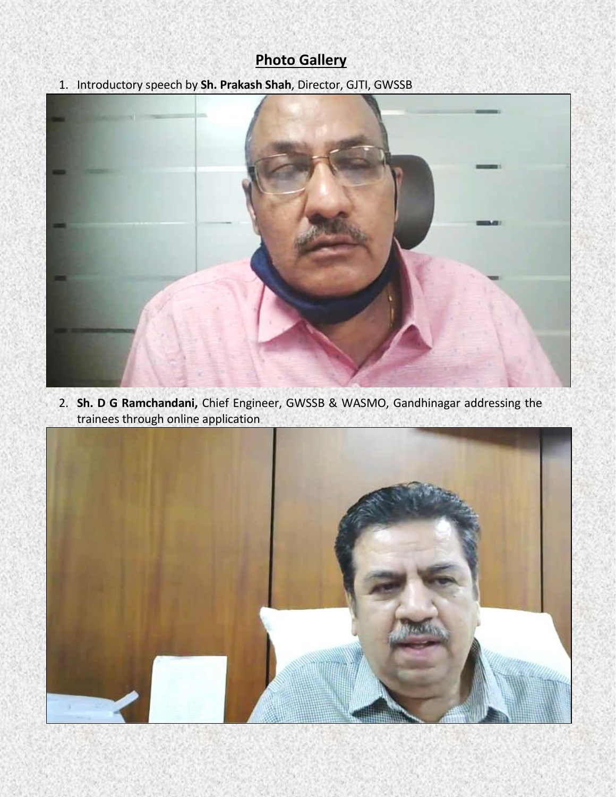### **Photo Gallery**

1. Introductory speech by **Sh. Prakash Shah**, Director, GJTI, GWSSB



2. **Sh. D G Ramchandani,** Chief Engineer, GWSSB & WASMO, Gandhinagar addressing the trainees through online application

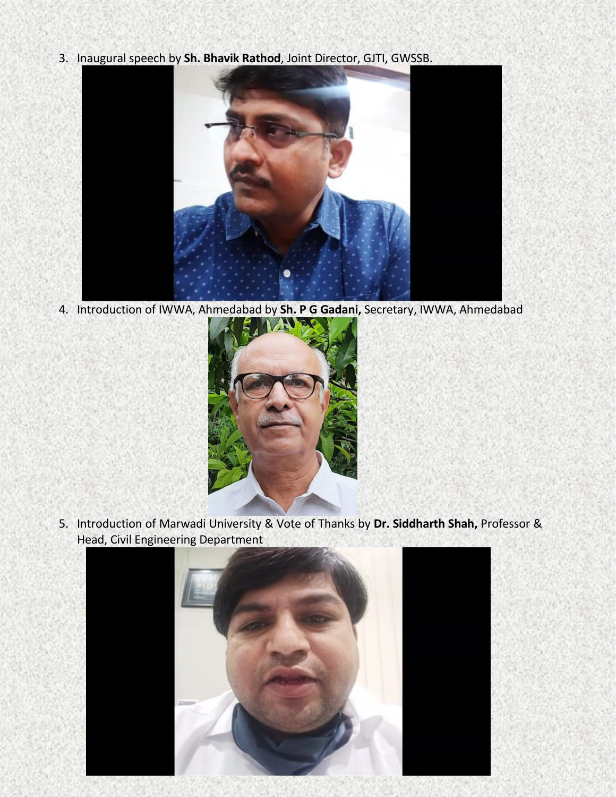3. Inaugural speech by **Sh. Bhavik Rathod**, Joint Director, GJTI, GWSSB.



4. Introduction of IWWA, Ahmedabad by **Sh. P G Gadani,** Secretary, IWWA, Ahmedabad



5. Introduction of Marwadi University & Vote of Thanks by **Dr. Siddharth Shah,** Professor & Head, Civil Engineering Department

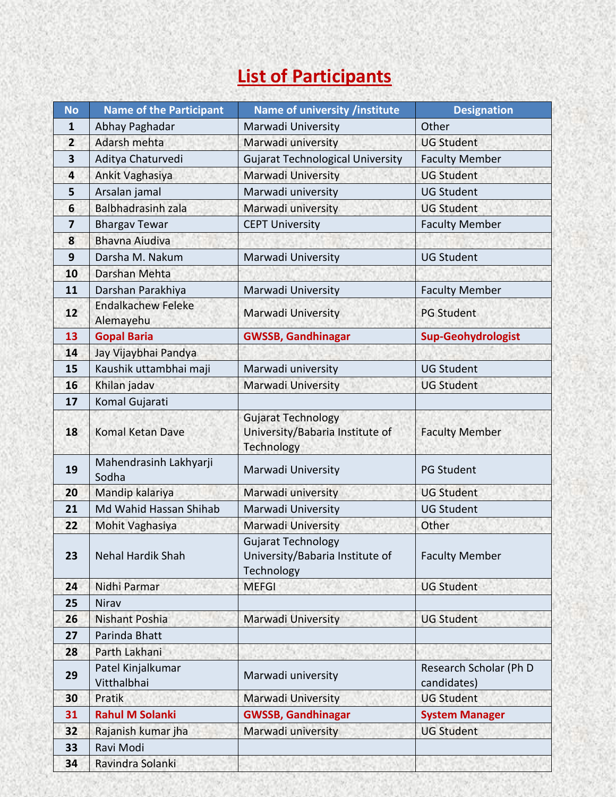# **List of Participants**

| <b>No</b>      | <b>Name of the Participant</b>         | Name of university /institute                                              | <b>Designation</b>                    |
|----------------|----------------------------------------|----------------------------------------------------------------------------|---------------------------------------|
| 1              | Abhay Paghadar                         | Marwadi University                                                         | Other                                 |
| $\overline{2}$ | Adarsh mehta                           | Marwadi university                                                         | <b>UG Student</b>                     |
| 3              | Aditya Chaturvedi                      | <b>Gujarat Technological University</b>                                    | <b>Faculty Member</b>                 |
| 4              | Ankit Vaghasiya                        | Marwadi University                                                         | <b>UG Student</b>                     |
| 5              | Arsalan jamal                          | Marwadi university                                                         | <b>UG Student</b>                     |
| 6              | <b>Balbhadrasinh zala</b>              | Marwadi university                                                         | <b>UG Student</b>                     |
| 7              | <b>Bhargav Tewar</b>                   | <b>CEPT University</b>                                                     | <b>Faculty Member</b>                 |
| 8              | <b>Bhavna Aiudiva</b>                  |                                                                            |                                       |
| 9              | Darsha M. Nakum                        | Marwadi University                                                         | <b>UG Student</b>                     |
| 10             | Darshan Mehta                          |                                                                            |                                       |
| 11             | Darshan Parakhiya                      | Marwadi University                                                         | <b>Faculty Member</b>                 |
| 12             | <b>Endalkachew Feleke</b><br>Alemayehu | Marwadi University                                                         | <b>PG Student</b>                     |
| 13             | <b>Gopal Baria</b>                     | <b>GWSSB, Gandhinagar</b>                                                  | <b>Sup-Geohydrologist</b>             |
| 14             | Jay Vijaybhai Pandya                   |                                                                            |                                       |
| 15             | Kaushik uttambhai maji                 | Marwadi university                                                         | <b>UG Student</b>                     |
| 16             | Khilan jadav                           | Marwadi University                                                         | <b>UG Student</b>                     |
| 17             | Komal Gujarati                         |                                                                            |                                       |
| 18             | Komal Ketan Dave                       | <b>Gujarat Technology</b><br>University/Babaria Institute of<br>Technology | <b>Faculty Member</b>                 |
| 19             | Mahendrasinh Lakhyarji<br>Sodha        | Marwadi University                                                         | <b>PG Student</b>                     |
| 20             | Mandip kalariya                        | Marwadi university                                                         | <b>UG Student</b>                     |
| 21             | Md Wahid Hassan Shihab                 | Marwadi University                                                         | <b>UG Student</b>                     |
| 22             | Mohit Vaghasiya                        | Marwadi University                                                         | Other                                 |
| 23             | <b>Nehal Hardik Shah</b>               | <b>Gujarat Technology</b><br>University/Babaria Institute of<br>Technology | <b>Faculty Member</b>                 |
| 24             | Nidhi Parmar                           | <b>MEFGI</b>                                                               | <b>UG Student</b>                     |
| 25             | Nirav                                  |                                                                            |                                       |
| 26             | <b>Nishant Poshia</b>                  | Marwadi University                                                         | <b>UG Student</b>                     |
| 27             | Parinda Bhatt                          |                                                                            |                                       |
| 28             | Parth Lakhani                          |                                                                            |                                       |
| 29             | Patel Kinjalkumar<br>Vitthalbhai       | Marwadi university                                                         | Research Scholar (Ph D<br>candidates) |
| 30             | Pratik                                 | Marwadi University                                                         | <b>UG Student</b>                     |
| 31             | <b>Rahul M Solanki</b>                 | <b>GWSSB, Gandhinagar</b>                                                  | <b>System Manager</b>                 |
| 32             | Rajanish kumar jha                     | Marwadi university                                                         | <b>UG Student</b>                     |
| 33             | Ravi Modi                              |                                                                            |                                       |
| 34             | Ravindra Solanki                       |                                                                            |                                       |